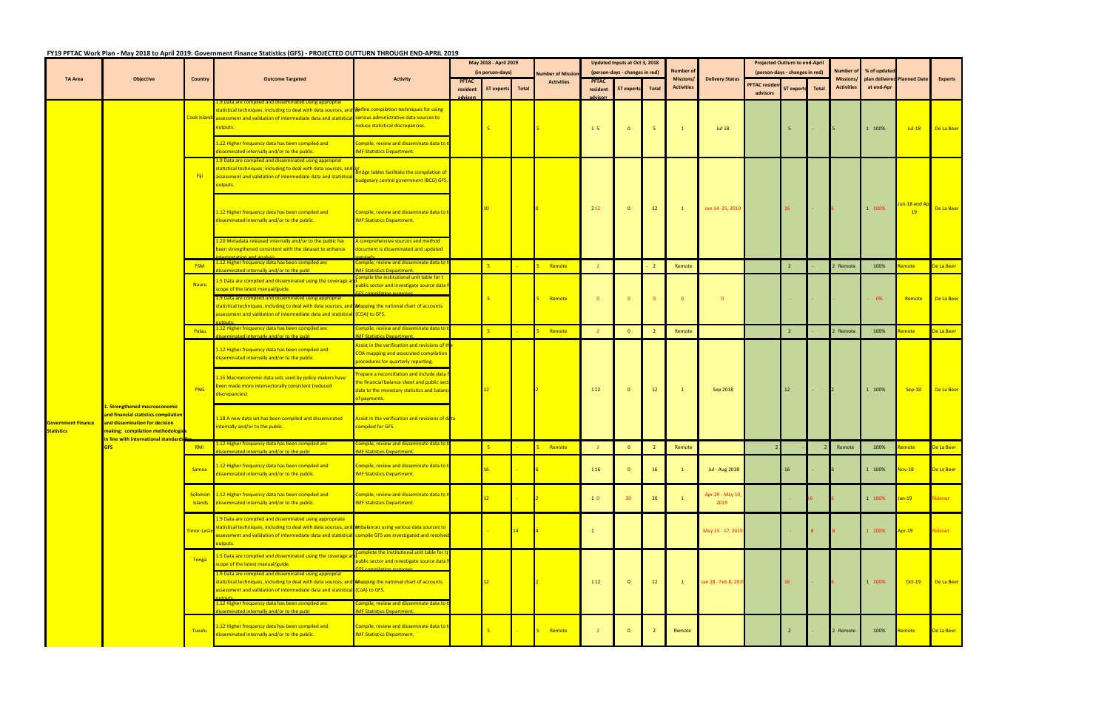## **FY19 PFTAC Work Plan ‐ May 2018 to April 2019: Government Finance Statistics (GFS) ‐ PROJECTED OUTTURN THROUGH END‐APRIL 2019**

|                                                |                                                                                                                                                                                    |                        | TO THE WORT ROLL ING ZOLD to APHI 2015, GOVERNMENT INGHE Statistics (GIS) - FROJECTED OUTTORN THROUGH END-AFRIC 2015                                                                                                                                                                                 |                                                                                                                                                              |              | May 2018 - April 2019 |       |                         |                | Updated Inputs at Oct 3, 2018  |    |                                |                          |                      | <b>Projected Outturn to end-April</b> |       |                                       |                                           |                                |                |
|------------------------------------------------|------------------------------------------------------------------------------------------------------------------------------------------------------------------------------------|------------------------|------------------------------------------------------------------------------------------------------------------------------------------------------------------------------------------------------------------------------------------------------------------------------------------------------|--------------------------------------------------------------------------------------------------------------------------------------------------------------|--------------|-----------------------|-------|-------------------------|----------------|--------------------------------|----|--------------------------------|--------------------------|----------------------|---------------------------------------|-------|---------------------------------------|-------------------------------------------|--------------------------------|----------------|
|                                                |                                                                                                                                                                                    |                        |                                                                                                                                                                                                                                                                                                      |                                                                                                                                                              |              | (in person-days)      |       | <b>Number of Missic</b> |                | (person-days - changes in red) |    | <b>Number of</b>               |                          |                      | (person-days - changes in red)        |       | Number of                             | % of updated                              |                                |                |
| <b>TA Area</b>                                 | <b>Objective</b>                                                                                                                                                                   | Country                | <b>Outcome Targeted</b>                                                                                                                                                                                                                                                                              | <b>Activity</b>                                                                                                                                              | <b>PFTAC</b> |                       |       | <b>Activities</b>       | <b>PFTAC</b>   |                                |    | Missions/<br><b>Activities</b> | <b>Delivery Status</b>   | <b>PFTAC residen</b> |                                       |       | <b>Missions/</b><br><b>Activities</b> | plan delivered Planned Date<br>at end-Apr |                                | <b>Experts</b> |
|                                                |                                                                                                                                                                                    |                        |                                                                                                                                                                                                                                                                                                      |                                                                                                                                                              | resident     | ST experts            | Total |                         | resident       | ST experts Total               |    |                                |                          | advisors             | <b>ST experts</b>                     | Total |                                       |                                           |                                |                |
|                                                |                                                                                                                                                                                    | Cook Islan             | 1.9 Data are compiled and disseminated using approprial<br>statistical techniques, including to deal with data sources, and <mark>Refine compilation techniques for using</mark><br><sup>1</sup> assessment and validation of intermediate data and statistica<br>outputs.                           | various administrative data sources to<br>educe statistical discrepancies.                                                                                   |              | $-5$                  |       |                         | 15             | $\mathbf{0}$                   |    | $\mathbf{1}$                   | <b>Jul 18</b>            |                      | 5                                     |       |                                       | 1 100%                                    | $Jul-18$                       | De La Beer     |
|                                                |                                                                                                                                                                                    |                        | 1.12 Higher frequency data has been compiled and<br>disseminated internally and/or to the public.                                                                                                                                                                                                    | ompile, review and disseminate data to f<br><b>MF Statistics Department.</b>                                                                                 |              |                       |       |                         |                |                                |    |                                |                          |                      |                                       |       |                                       |                                           |                                |                |
|                                                |                                                                                                                                                                                    | – Fiji                 | 1.9 Data are compiled and disseminated using approprial<br>statistical techniques, including to deal with data sources, and<br>assessment and validation of intermediate data and statistica<br><mark>outputs.</mark>                                                                                | ridge tables facilitate the compilation of<br>udgetary central government (BCG) GFS.                                                                         |              |                       |       |                         |                |                                |    |                                |                          |                      |                                       |       |                                       |                                           |                                |                |
|                                                |                                                                                                                                                                                    |                        | 1.12 Higher frequency data has been compiled and<br>disseminated internally and/or to the public.                                                                                                                                                                                                    | Compile, review and disseminate data to f<br><b>IMF Statistics Department.</b>                                                                               |              | $ 10\rangle$          |       |                         | 2 1 2          | $\mathbf{0}$                   | 12 | $\mathbf{1}$                   | Jan 14 - 25, 2019        |                      | 16                                    |       |                                       | 1 100%                                    | <mark>un-18 and A</mark><br>19 | De La Beer     |
|                                                |                                                                                                                                                                                    |                        | 1.20 Metadata released internally and/or to the public hav<br>been strengthened consistent with the dataset to enhance                                                                                                                                                                               | A comprehensive sources and method<br>document is disseminated and updated                                                                                   |              |                       |       |                         |                |                                |    |                                |                          |                      |                                       |       |                                       |                                           |                                |                |
|                                                |                                                                                                                                                                                    | <b>FSM</b>             | 1.12 Higher frequency data has been compiled and<br>seminated internally and/or to the publ-                                                                                                                                                                                                         | Compile, review and disseminate data to<br><b>MF Statistics Department</b>                                                                                   |              | 5 <sup>1</sup>        |       | Remote                  |                |                                |    | Remote                         |                          |                      | $\overline{2}$                        |       | 2 Remote                              | 100%                                      | emote                          | De La Beer     |
|                                                |                                                                                                                                                                                    | Nauru                  | 1.5 Data are compiled and disseminated using the coverage<br>scope of the latest manual/guide.                                                                                                                                                                                                       | ompile the institutional unit table for t<br>ublic sector and investigate source data f                                                                      |              |                       |       |                         |                |                                |    |                                |                          |                      |                                       |       |                                       |                                           |                                |                |
|                                                |                                                                                                                                                                                    |                        | 1.9 Data are compiled and disseminated using appropriat<br>statistical techniques, including to deal with data sources, and <b>Mapping the national chart of accounts</b><br>assessment and validation of intermediate data and statistical (COA) to GFS.                                            |                                                                                                                                                              |              | $-5$                  |       | Remote                  | $\overline{0}$ | $\Omega$                       |    | $\mathbf{0}$                   | $\Omega$                 |                      |                                       |       |                                       | 0%                                        | Remote                         | De La Beer     |
|                                                |                                                                                                                                                                                    | Palau                  | 1.12 Higher frequency data has been compiled and<br>sseminated internally and/or to the publet                                                                                                                                                                                                       | Compile, review and disseminate data to<br><b>MF Statistics Department.</b>                                                                                  |              | 5 <sup>2</sup>        |       | Remote                  |                | $\Omega$                       |    | Remote                         |                          |                      | $\overline{2}$                        |       | 2 Remote                              | 100%                                      | emote                          | De La Beer     |
|                                                |                                                                                                                                                                                    |                        | 1.12 Higher frequency data has been compiled and<br>disseminated internally and/or to the public.                                                                                                                                                                                                    | Assist in the verification and revisions of th<br>COA mapping and associated compilation<br>procedures for quarterly reporting.                              |              |                       |       |                         |                |                                |    |                                |                          |                      |                                       |       |                                       |                                           |                                |                |
|                                                |                                                                                                                                                                                    | PNG                    | 1.15 Macroeconomic data sets used by policy-makers have<br>been made more intersectorally consistent (reduced<br>discrepancies).                                                                                                                                                                     | <b>Prepare a reconciliation and include data</b><br>he financial balance sheet and public sect<br>data to the monetary statistics and balanc<br>of payments. |              | 12 <sub>1</sub>       |       |                         | 112            | $\mathbf{0}$                   | 12 | $\mathbf{1}$                   | Sep 2018                 |                      | 12                                    |       |                                       | 1 100%                                    | $Sep-18$                       | De La Beer     |
| <b>Government Finance</b><br><b>Statistics</b> | L. Strengthened macroeconomic<br>and financial statistics compilation<br>and dissemination for decision<br>making: compilation methodologio<br>in line with international standard |                        | 1.18 A new data set has been compiled and disseminated<br>internally and/or to the public.                                                                                                                                                                                                           | Assist in the verification and revisions of data<br>compiled for GFS.                                                                                        |              |                       |       |                         |                |                                |    |                                |                          |                      |                                       |       |                                       |                                           |                                |                |
|                                                | <b>GFS</b>                                                                                                                                                                         | RMI                    | 1.12 Higher frequency data has been compiled and<br>seminated internally and/or to the publ                                                                                                                                                                                                          | Compile, review and disseminate data to f<br><b>MF Statistics Department.</b>                                                                                |              | 5 <sup>1</sup>        |       | Remote                  |                | $\Omega$                       |    | Remote                         |                          |                      |                                       |       | Remote                                | 100%                                      | emote                          | De La Beer     |
|                                                |                                                                                                                                                                                    | Samoa                  | .12 Higher frequency data has been compiled and<br>disseminated internally and/or to the public.                                                                                                                                                                                                     | Compile, review and disseminate data to t<br><b>IMF Statistics Department.</b>                                                                               |              | 16                    |       |                         | 116            |                                | 16 |                                | Jul - Aug 2018           |                      | 16                                    |       |                                       | 1 100%                                    | <b>Nov-18</b>                  | De La Beer     |
|                                                |                                                                                                                                                                                    |                        | Solomon 1.12 Higher frequency data has been compiled and<br>Islands disseminated internally and/or to the public.                                                                                                                                                                                    | Compile, review and disseminate data to t<br><b>IMF Statistics Department.</b>                                                                               |              | 12 <sup>7</sup>       |       |                         | 10             | 30                             | 30 |                                | Apr 29 - May 10,<br>2019 |                      |                                       |       |                                       | 1 100%                                    | lan-19                         | ideout         |
|                                                |                                                                                                                                                                                    | <mark>Timor-Le:</mark> | 1.9 Data are compiled and disseminated using appropriate<br>statistical techniques, including to deal with data sources, and <b>ombalances using various data sources to</b><br>assessment and validation of intermediate data and statistical compile GFS are investigated and resolved<br>outputs. |                                                                                                                                                              |              |                       | 14    |                         | $\mathbf{1}$   |                                |    |                                | May 13 - 17, 2019        |                      |                                       |       |                                       | 1 100%                                    | Apr-19                         | ideout         |
|                                                |                                                                                                                                                                                    | Tonga                  | 1.5 Data are compiled and disseminated using the coverage a<br>cope of the latest manual/guide.<br>1.9 Data are compiled and disseminated using approprial                                                                                                                                           | omplete the institutional unit table for t<br>public sector and investigate source data f                                                                    |              |                       |       |                         |                |                                |    |                                |                          |                      |                                       |       |                                       |                                           |                                |                |
|                                                |                                                                                                                                                                                    |                        | statistical techniques, including to deal with data sources, and <b>Mapping the national chart of accounts</b><br>assessment and validation of intermediate data and statistical (CoA) to GFS.<br>1.12 Higher frequency data has been compiled and<br>isseminated internally and/or to the publ      | Compile, review and disseminate data to<br><b>MF Statistics Department.</b>                                                                                  |              | 12                    |       |                         | 112            | $\Omega$                       | 12 | $\mathbf{1}$                   | Jan 28 - Feb 8, 2019     |                      | <b>16</b>                             |       |                                       | 1 100%                                    | $Oct-19$                       | De La Beer     |
|                                                |                                                                                                                                                                                    | Tuvalu                 | 1.12 Higher frequency data has been compiled and<br>disseminated internally and/or to the public.                                                                                                                                                                                                    | Compile, review and disseminate data to t<br><b>IMF Statistics Department.</b>                                                                               |              | $-5$                  |       | Remote                  |                |                                |    | Remote                         |                          |                      |                                       |       | Remote                                | 100%                                      | lemote                         | De La Beer     |